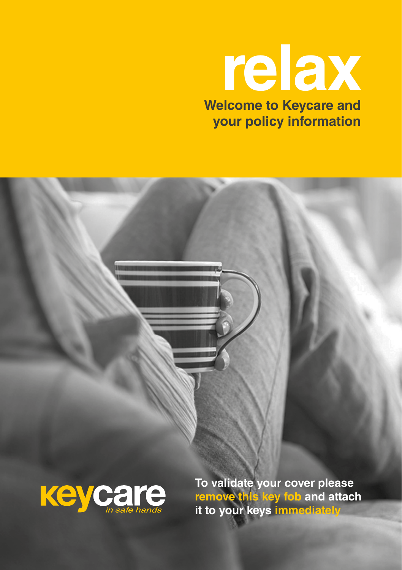



**To validate your cover please remove this key fob and attach it to your keys immediately**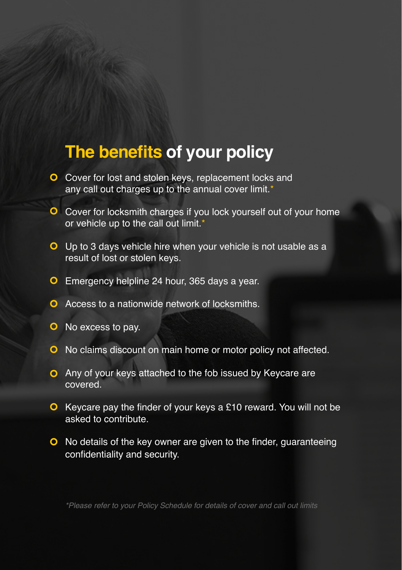### **The benefits of your policy**

- **O** Cover for lost and stolen keys, replacement locks and any call out charges up to the annual cover limit.\*
- **O** Cover for locksmith charges if you lock yourself out of your home or vehicle up to the call out limit.\*
- Up to 3 days vehicle hire when your vehicle is not usable as a result of lost or stolen keys.
- **O** Emergency helpline 24 hour, 365 days a year.
- **O** Access to a nationwide network of locksmiths.
- O No excess to pay.
- O No claims discount on main home or motor policy not affected.
- Any of your keys attached to the fob issued by Keycare are covered.
- **O** Keycare pay the finder of your keys a £10 reward. You will not be asked to contribute.
- No details of the key owner are given to the finder, guaranteeing confidentiality and security.

*\*Please refer to your Policy Schedule for details of cover and call out limits*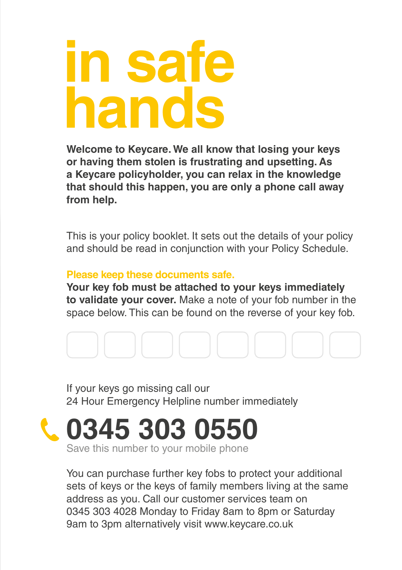# **in safe hands**

**Welcome to Keycare. We all know that losing your keys or having them stolen is frustrating and upsetting. As a Keycare policyholder, you can relax in the knowledge that should this happen, you are only a phone call away from help.**

This is your policy booklet. It sets out the details of your policy and should be read in conjunction with your Policy Schedule.

#### **Please keep these documents safe.**

**Your key fob must be attached to your keys immediately to validate your cover.** Make a note of your fob number in the space below. This can be found on the reverse of your key fob.



If your keys go missing call our 24 Hour Emergency Helpline number immediately

**0345 303 0550** Save this number to your mobile phone

> You can purchase further key fobs to protect your additional sets of keys or the keys of family members living at the same address as you. Call our customer services team on 0345 303 4028 Monday to Friday 8am to 8pm or Saturday 9am to 3pm alternatively visit www.keycare.co.uk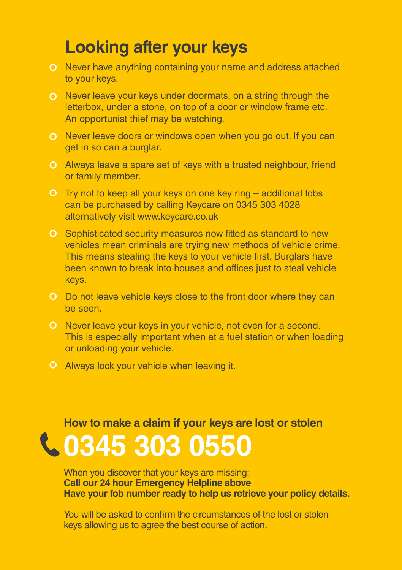## **Looking after your keys**

- Never have anything containing your name and address attached to your keys.
- Never leave your keys under doormats, on a string through the letterbox, under a stone, on top of a door or window frame etc. An opportunist thief may be watching.
- Never leave doors or windows open when you go out. If you can get in so can a burglar.
- Always leave a spare set of keys with a trusted neighbour, friend or family member.
- Try not to keep all your keys on one key ring additional fobs can be purchased by calling Keycare on 0345 303 4028 alternatively visit www.keycare.co.uk
- Sophisticated security measures now fitted as standard to new vehicles mean criminals are trying new methods of vehicle crime. This means stealing the keys to your vehicle first. Burglars have been known to break into houses and offices just to steal vehicle keys.
- Do not leave vehicle keys close to the front door where they can be seen.
- O Never leave your keys in your vehicle, not even for a second. This is especially important when at a fuel station or when loading or unloading your vehicle.
- Always lock your vehicle when leaving it.

## **How to make a claim if your keys are lost or stolen 0345 303 0550**

When you discover that your keys are missing: **Call our 24 hour Emergency Helpline above Have your fob number ready to help us retrieve your policy details.**

You will be asked to confirm the circumstances of the lost or stolen keys allowing us to agree the best course of action.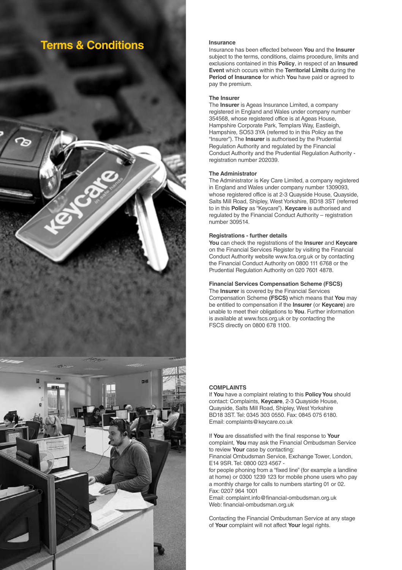#### **Terms & Conditions**



#### **Insurance**

Insurance has been effected between **You** and the **Insurer** subject to the terms, conditions, claims procedure, limits and exclusions contained in this **Policy**, in respect of an **Insured Event** which occurs within the **Territorial Limits** during the **Period of Insurance** for which **You** have paid or agreed to pay the premium.

#### **The Insurer**

The **Insurer** is Ageas Insurance Limited, a company registered in England and Wales under company number 354568, whose registered office is at Ageas House, Hampshire Corporate Park, Templars Way, Eastleigh, Hampshire, SO53 3YA (referred to in this Policy as the "Insurer"). The **Insurer** is authorised by the Prudential Regulation Authority and regulated by the Financial Conduct Authority and the Prudential Regulation Authority registration number 202039.

#### **The Administrator**

The Administrator is Key Care Limited, a company registered in England and Wales under company number 1309093, whose registered office is at 2-3 Quayside House, Quayside, Salts Mill Road, Shipley, West Yorkshire, BD18 3ST (referred to in this **Policy** as "Keycare"). **Keycare** is authorised and regulated by the Financial Conduct Authority – registration number 309514.

#### **Registrations - further details**

**You** can check the registrations of the **Insurer** and **Keycare** on the Financial Services Register by visiting the Financial Conduct Authority website www.fca.org.uk or by contacting the Financial Conduct Authority on 0800 111 6768 or the Prudential Regulation Authority on 020 7601 4878.

#### **Financial Services Compensation Scheme (FSCS)**

The **Insurer** is covered by the Financial Services Compensation Scheme **(FSCS)** which means that **You** may be entitled to compensation if the **Insurer** (or **Keycare**) are unable to meet their obligations to **You**. Further information is available at www.fscs.org.uk or by contacting the FSCS directly on 0800 678 1100.

#### **COMPLAINTS**

If **You** have a complaint relating to this **Policy You** should contact: Complaints, **Keycare**, 2-3 Quayside House, Quayside, Salts Mill Road, Shipley, West Yorkshire BD18 3ST. Tel: 0345 303 0550. Fax: 0845 075 6180. Email: complaints@keycare.co.uk

If **You** are dissatisfied with the final response to **Your** complaint, **You** may ask the Financial Ombudsman Service to review **Your** case by contacting:

Financial Ombudsman Service, Exchange Tower, London, E14 9SR. Tel: 0800 023 4567 -

for people phoning from a "fixed line" (for example a landline at home) or 0300 1239 123 for mobile phone users who pay a monthly charge for calls to numbers starting 01 or 02. Fax: 0207 964 1001

Email: complaint.info@financial-ombudsman.org.uk Web: financial-ombudsman.org.uk

Contacting the Financial Ombudsman Service at any stage of **Your** complaint will not affect **Your** legal rights.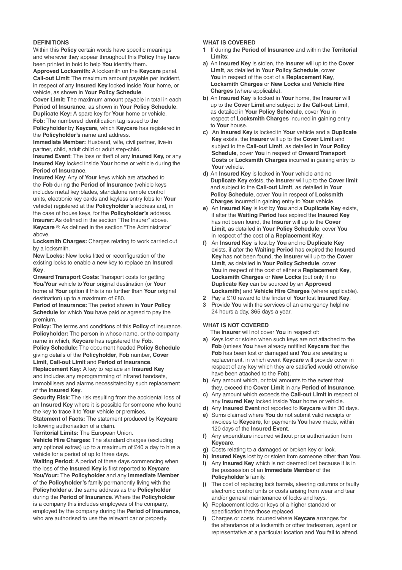#### **DEFINITIONS**

Within this **Policy** certain words have specific meanings and wherever they appear throughout this **Policy** they have been printed in bold to help **You** identify them.

**Approved Locksmith:** A locksmith on the **Keycare** panel. **Call-out Limit**: The maximum amount payable per incident, in respect of any **Insured Key** locked inside **Your** home, or vehicle, as shown in **Your Policy Schedule**.

**Cover Limit:** The maximum amount payable in total in each **Period of Insurance**, as shown in **Your Policy Schedule**. **Duplicate Key:** A spare key for **Your** home or vehicle.

**Fob:** The numbered identification tag issued to the

**Policyholder** by **Keycare**, which **Keycare** has registered in the **Policyholder's** name and address.

**Immediate Member:** Husband, wife, civil partner, live-in partner, child, adult child or adult step-child.

**Insured Event**: The loss or theft of any **Insured Key,** or any **Insured Key** locked inside **Your** home or vehicle during the **Period of Insurance**.

**Insured Key**: Any of **Your** keys which are attached to the **Fob** during the **Period of Insurance** (vehicle keys includes metal key blades, standalone remote control units, electronic key cards and keyless entry fobs for **Your**  vehicle) registered at the **Policyholder's** address and, in the case of house keys, for the **Policyholder's** address. **Insurer:** As defined in the section "The Insurer" above. **Keycare** ®: As defined in the section "The Administrator" above.

**Locksmith Charges:** Charges relating to work carried out by a locksmith.

**New Locks:** New locks fitted or reconfiguration of the existing locks to enable a new key to replace an **Insured Key**.

**Onward Transport Costs**: Transport costs for getting **You**/**Your** vehicle to **Your** original destination (or **Your** home at **Your** option if this is no further than **Your** original destination) up to a maximum of £80.

**Period of Insurance:** The period shown in **Your Policy Schedule** for which **You** have paid or agreed to pay the premium.

**Policy:** The terms and conditions of this **Policy** of insurance. **Policyholder:** The person in whose name, or the company name in which, **Keycare** has registered the **Fob**.

**Policy Schedule:** The document headed **Policy Schedule** giving details of the **Policyholder**, **Fob** number, **Cover Limit**, **Call-out Limit** and **Period of Insurance**.

**Replacement Key:** A key to replace an **Insured Key** and includes any reprogramming of infrared handsets, immobilisers and alarms necessitated by such replacement of the **Insured Key**.

**Security Risk**: The risk resulting from the accidental loss of an **Insured Key** where it is possible for someone who found the key to trace it to **Your** vehicle or premises.

**Statement of Facts:** The statement produced by **Keycare** following authorisation of a claim.

**Territorial Limits:** The European Union.

**Vehicle Hire Charges:** The standard charges (excluding any optional extras) up to a maximum of £40 a day to hire a vehicle for a period of up to three days.

**Waiting Period:** A period of three days commencing when the loss of the **Insured Key** is first reported to **Keycare**. **You/Your:** The **Policyholder** and any **Immediate Member** of the **Policyholder's** family permanently living with the **Policyholder** at the same address as the **Policyholder** during the **Period of Insurance**. Where the **Policyholder** is a company this includes employees of the company, employed by the company during the **Period of Insurance**, who are authorised to use the relevant car or property.

#### **WHAT IS COVERED**

- **1** If during the **Period of Insurance** and within the **Territorial Limits**:
- **a)** An **Insured Key** is stolen, the **Insurer** will up to the **Cover Limit**, as detailed in **Your Policy Schedule**, cover **You** in respect of the cost of a **Replacement Key**, **Locksmith Charges** or **New Locks** and **Vehicle Hire Charges** (where applicable).
- **b)** An **Insured Key** is locked in **Your** home, the **Insurer** will up to the **Cover Limit** and subject to the **Call-out Limi**t, as detailed in **Your Policy Schedule**, cover **You** in respect of **Locksmith Charges** incurred in gaining entry to **Your** house.
- **c)** An **Insured Key** is locked in **Your** vehicle and a **Duplicate Key** exists, the **Insurer** will up to the **Cover Limit** and subject to the **Call-out Limit**, as detailed in **Your Policy Schedule**, cover **You** in respect of **Onward Transport Costs** or **Locksmith Charges** incurred in gaining entry to **Your** vehicle.
- **d)** An **Insured Key** is locked in **Your** vehicle and no **Duplicate Key** exists, the **Insurer** will up to the **Cover limit** and subject to the **Call-out Limit**, as detailed in **Your Policy Schedule**, cover **You** in respect of **Locksmith Charges** incurred in gaining entry to **Your** vehicle.
- **e)** An **Insured Key** is lost by **You** and a **Duplicate Key** exists, if after the **Waiting Period** has expired the **Insured Key** has not been found, the **Insurer** will up to the **Cover Limit**, as detailed in **Your Policy Schedule**, cover **You** in respect of the cost of a **Replacement Key**;
- **f)** An **Insured Key** is lost by **You** and no **Duplicate Key** exists, if after the **Waiting Period** has expired the **Insured Key** has not been found, the **Insurer** will up to the **Cover Limit**, as detailed in **Your Policy Schedule**, cover **You** in respect of the cost of either a **Replacement Key**, **Locksmith Charges** or **New Locks** (but only if no **Duplicate Key** can be sourced by an **Approved Locksmith)** and **Vehicle Hire Charges** (where applicable).
- **2** Pay a £10 reward to the finder of **Your** lost **Insured Key**.
- **3** Provide **You** with the services of an emergency helpline 24 hours a day, 365 days a year.

#### **WHAT IS NOT COVERED**

The **Insurer** will not cover **You** in respect of:

- **a)** Keys lost or stolen when such keys are not attached to the **Fob** (unless **You** have already notified **Keycare** that the **Fob** has been lost or damaged and **You** are awaiting a replacement, in which event **Keycare** will provide cover in respect of any key which they are satisfied would otherwise have been attached to the **Fob**).
- **b)** Any amount which, or total amounts to the extent that they, exceed the **Cover Limit** in any **Period of Insurance**.
- **c)** Any amount which exceeds the **Call-out Limit** in respect of any **Insured Key** locked inside **Your** home or vehicle.
- **d)** Any **Insured Event** not reported to **Keycare** within 30 days.
- **e)** Sums claimed where **You** do not submit valid receipts or invoices to **Keycare**, for payments **You** have made, within 120 days of the **Insured Event**.
- **f)** Any expenditure incurred without prior authorisation from **Keycare**.
- **g)** Costs relating to a damaged or broken key or lock.
- **h) Insured Keys** lost by or stolen from someone other than **You**.
- **i)** Any **Insured Key** which is not deemed lost because it is in the possession of an **Immediate Member** of the **Policyholder's** family.
- **j)** The cost of replacing lock barrels, steering columns or faulty electronic control units or costs arising from wear and tear and/or general maintenance of locks and keys.
- **k)** Replacement locks or keys of a higher standard or specification than those replaced.
- **l)** Charges or costs incurred where **Keycare** arranges for the attendance of a locksmith or other tradesman, agent or representative at a particular location and **You** fail to attend.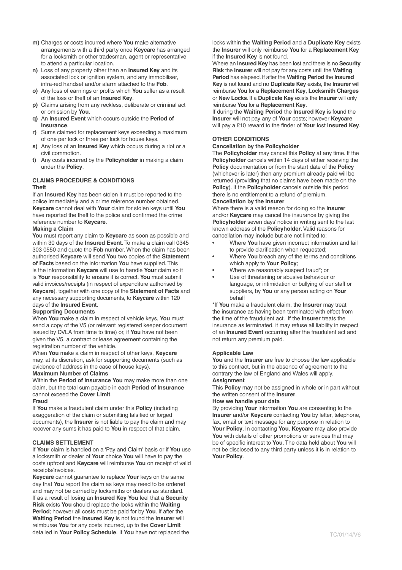- **m)** Charges or costs incurred where **You** make alternative arrangements with a third party once **Keycare** has arranged for a locksmith or other tradesman, agent or representative to attend a particular location.
- **n)** Loss of any property other than an **Insured Key** and its associated lock or ignition system, and any immobiliser, infra-red handset and/or alarm attached to the **Fob**.
- **o)** Any loss of earnings or profits which **You** suffer as a result of the loss or theft of an **Insured Key**.
- **p)** Claims arising from any reckless, deliberate or criminal act or omission by **You**.
- **q)** An **Insured Event** which occurs outside the **Period of Insurance**.
- **r)** Sums claimed for replacement keys exceeding a maximum of one per lock or three per lock for house keys.
- **s)** Any loss of an **Insured Key** which occurs during a riot or a civil commotion.
- **t)** Any costs incurred by the **Policyholder** in making a claim under the **Policy**.

#### **CLAIMS PROCEDURE & CONDITIONS Theft**

If an **Insured Key** has been stolen it must be reported to the police immediately and a crime reference number obtained. **Keycare** cannot deal with **Your** claim for stolen keys until **You** have reported the theft to the police and confirmed the crime reference number to **Keycare**.

#### **Making a Claim**

**You** must report any claim to **Keycare** as soon as possible and within 30 days of the **Insured Event**. To make a claim call 0345 303 0550 and quote the **Fob** number. When the claim has been authorised **Keycare** will send **You** two copies of the **Statement of Facts** based on the information **You** have supplied. This is the information **Keycare** will use to handle **Your** claim so it is **Your** responsibility to ensure it is correct. **You** must submit valid invoices/receipts (in respect of expenditure authorised by **Keycare**), together with one copy of the **Statement of Facts** and any necessary supporting documents, to **Keycare** within 120 days of the **Insured Event**.

#### **Supporting Documents**

When **You** make a claim in respect of vehicle keys, **You** must send a copy of the V5 (or relevant registered keeper document issued by DVLA from time to time) or, if **You** have not been given the V5, a contract or lease agreement containing the registration number of the vehicle.

When **You** make a claim in respect of other keys, **Keycare**  may, at its discretion, ask for supporting documents (such as evidence of address in the case of house keys).

#### **Maximum Number of Claims**

Within the **Period of Insurance You** may make more than one claim, but the total sum payable in each **Period of Insurance** cannot exceed the **Cover Limit**.

#### **Fraud**

If **You** make a fraudulent claim under this **Policy** (including exaggeration of the claim or submitting falsified or forged documents), the **Insurer** is not liable to pay the claim and may recover any sums it has paid to **You** in respect of that claim.

#### **CLAIMS SETTLEMEN**T

If **Your** claim is handled on a 'Pay and Claim' basis or if **You** use a locksmith or dealer of **Your** choice **You** will have to pay the costs upfront and **Keycare** will reimburse **You** on receipt of valid receipts/invoices.

**Keycare** cannot guarantee to replace **Your** keys on the same day that **You** report the claim as keys may need to be ordered and may not be carried by locksmiths or dealers as standard. If as a result of losing an **Insured Key You** feel that a **Security Risk** exists **You** should replace the locks within the **Waiting Period**; however all costs must be paid for by **You**. If after the **Waiting Period** the **Insured Key** is not found the **Insurer** will reimburse **You** for any costs incurred, up to the **Cover Limit** detailed in **Your Policy Schedule**. If **You** have not replaced the TC/01/14/V6

locks within the **Waiting Period** and a **Duplicate Key** exists the **Insurer** will only reimburse **You** for a **Replacement Key** if the **Insured Key** is not found.

Where an **Insured Key** has been lost and there is no **Security Risk** the **Insurer** will not pay for any costs until the **Waiting Period** has elapsed. If after the **Waiting Period** the **Insured Key** is not found and no **Duplicate Key** exists, the **Insurer** will reimburse **You** for a **Replacement Key**, **Locksmith Charges** or **New Locks**. If a **Duplicate Key** exists the **Insurer** will only reimburse **You** for a **Replacement Key**.

If during the **Waiting Period** the **Insured Key** is found the **Insurer** will not pay any of **Your** costs; however **Keycare** will pay a £10 reward to the finder of **Your** lost **Insured Key**.

#### **OTHER CONDITIONS**

#### **Cancellation by the Policyholder**

The **Policyholder** may cancel this **Policy** at any time. If the **Policyholder** cancels within 14 days of either receiving the **Policy** documentation or from the start date of the **Policy** (whichever is later) then any premium already paid will be returned (providing that no claims have been made on the **Policy**). If the **Policyholder** cancels outside this period there is no entitlement to a refund of premium.

#### **Cancellation by the Insurer**

Where there is a valid reason for doing so the **Insurer** and/or **Keycare** may cancel the insurance by giving the **Policyholder** seven days' notice in writing sent to the last known address of the **Policyholder**. Valid reasons for cancellation may include but are not limited to:

- Where **You** have given incorrect information and fail to provide clarification when requested;
- Where **You** breach any of the terms and conditions which apply to **Your Policy**;
- Where we reasonably suspect fraud\*; or
- Use of threatening or abusive behaviour or language, or intimidation or bullying of our staff or suppliers, by **You** or any person acting on **Your** behalf

\*If **You** make a fraudulent claim, the **Insurer** may treat the insurance as having been terminated with effect from the time of the fraudulent act. If the **Insurer** treats the insurance as terminated, it may refuse all liability in respect of an **Insured Event** occurring after the fraudulent act and not return any premium paid.

#### **Applicable Law**

**You** and the **Insurer** are free to choose the law applicable to this contract, but in the absence of agreement to the contrary the law of England and Wales will apply. **Assignment**

This **Policy** may not be assigned in whole or in part without the written consent of the **Insurer**.

#### **How we handle your data**

By providing **Your** information **You** are consenting to the **Insurer** and/or **Keycare** contacting **You** by letter, telephone, fax, email or text message for any purpose in relation to **Your Policy**. In contacting **You**, **Keycare** may also provide **You** with details of other promotions or services that may be of specific interest to **You**. The data held about **You** will not be disclosed to any third party unless it is in relation to **Your Policy**.